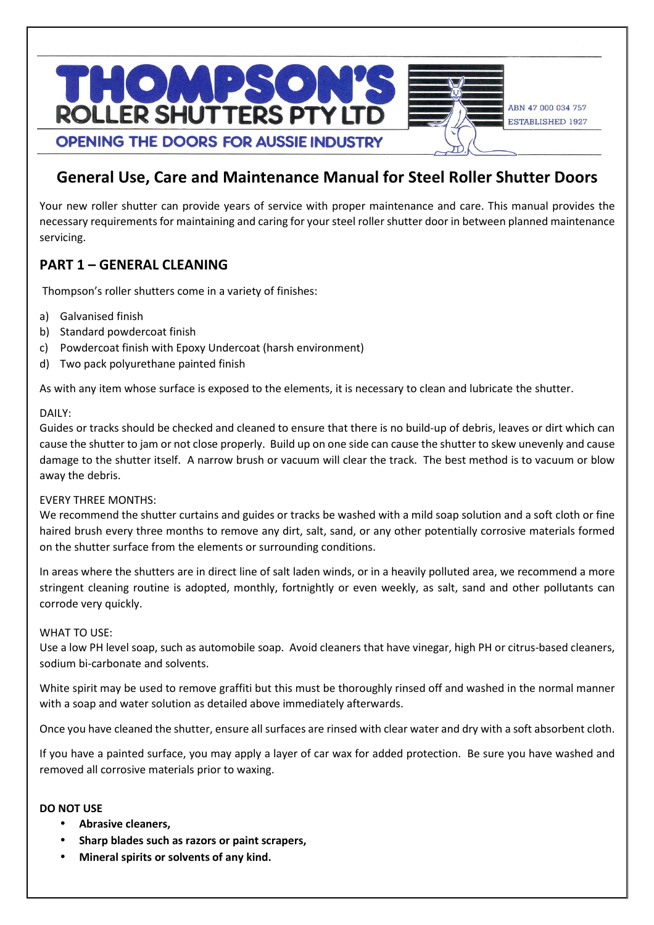

# **General Use, Care and Maintenance Manual for Steel Roller Shutter Doors**

Your new roller shutter can provide years of service with proper maintenance and care. This manual provides the necessary requirements for maintaining and caring for your steel roller shutter door in between planned maintenance servicing.

# **PART 1 – GENERAL CLEANING**

Thompson's roller shutters come in a variety of finishes:

- a) Galvanised finish
- b) Standard powdercoat finish
- c) Powdercoat finish with Epoxy Undercoat (harsh environment)
- d) Two pack polyurethane painted finish

As with any item whose surface is exposed to the elements, it is necessary to clean and lubricate the shutter.

### DAILY:

Guides or tracks should be checked and cleaned to ensure that there is no build-up of debris, leaves or dirt which can cause the shutter to jam or not close properly. Build up on one side can cause the shutter to skew unevenly and cause damage to the shutter itself. A narrow brush or vacuum will clear the track. The best method is to vacuum or blow away the debris.

### EVERY THREE MONTHS:

We recommend the shutter curtains and guides or tracks be washed with a mild soap solution and a soft cloth or fine haired brush every three months to remove any dirt, salt, sand, or any other potentially corrosive materials formed on the shutter surface from the elements or surrounding conditions.

In areas where the shutters are in direct line of salt laden winds, or in a heavily polluted area, we recommend a more stringent cleaning routine is adopted, monthly, fortnightly or even weekly, as salt, sand and other pollutants can corrode very quickly.

### WHAT TO USE:

Use a low PH level soap, such as automobile soap. Avoid cleaners that have vinegar, high PH or citrus-based cleaners, sodium bi-carbonate and solvents.

White spirit may be used to remove graffiti but this must be thoroughly rinsed off and washed in the normal manner with a soap and water solution as detailed above immediately afterwards.

Once you have cleaned the shutter, ensure all surfaces are rinsed with clear water and dry with a soft absorbent cloth.

If you have a painted surface, you may apply a layer of car wax for added protection. Be sure you have washed and removed all corrosive materials prior to waxing.

### **DO NOT USE**

- **Abrasive cleaners,**
- **Sharp blades such as razors or paint scrapers,**
- **Mineral spirits or solvents of any kind.**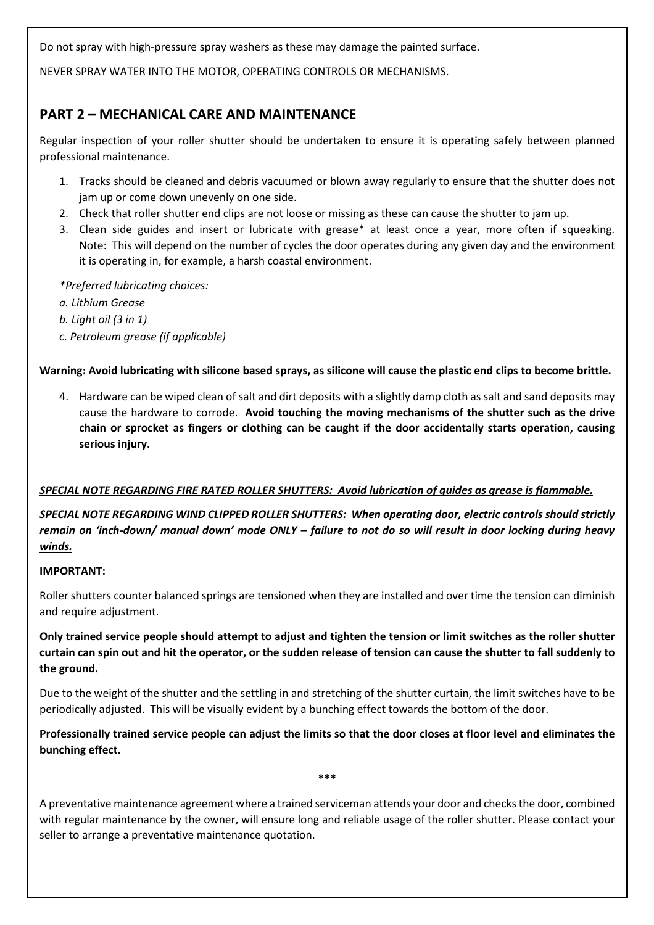Do not spray with high-pressure spray washers as these may damage the painted surface.

NEVER SPRAY WATER INTO THE MOTOR, OPERATING CONTROLS OR MECHANISMS.

# **PART 2 – MECHANICAL CARE AND MAINTENANCE**

Regular inspection of your roller shutter should be undertaken to ensure it is operating safely between planned professional maintenance.

- 1. Tracks should be cleaned and debris vacuumed or blown away regularly to ensure that the shutter does not jam up or come down unevenly on one side.
- 2. Check that roller shutter end clips are not loose or missing as these can cause the shutter to jam up.
- 3. Clean side guides and insert or lubricate with grease\* at least once a year, more often if squeaking. Note: This will depend on the number of cycles the door operates during any given day and the environment it is operating in, for example, a harsh coastal environment.

*\*Preferred lubricating choices:* 

*a. Lithium Grease* 

*b. Light oil (3 in 1)* 

*c. Petroleum grease (if applicable)* 

# **Warning: Avoid lubricating with silicone based sprays, as silicone will cause the plastic end clips to become brittle.**

4. Hardware can be wiped clean of salt and dirt deposits with a slightly damp cloth as salt and sand deposits may cause the hardware to corrode. **Avoid touching the moving mechanisms of the shutter such as the drive chain or sprocket as fingers or clothing can be caught if the door accidentally starts operation, causing serious injury.** 

# *SPECIAL NOTE REGARDING FIRE RATED ROLLER SHUTTERS: Avoid lubrication of guides as grease is flammable.*

# *SPECIAL NOTE REGARDING WIND CLIPPED ROLLER SHUTTERS: When operating door, electric controls should strictly remain on 'inch-down/ manual down' mode ONLY – failure to not do so will result in door locking during heavy winds.*

### **IMPORTANT:**

Roller shutters counter balanced springs are tensioned when they are installed and over time the tension can diminish and require adjustment.

**Only trained service people should attempt to adjust and tighten the tension or limit switches as the roller shutter curtain can spin out and hit the operator, or the sudden release of tension can cause the shutter to fall suddenly to the ground.** 

Due to the weight of the shutter and the settling in and stretching of the shutter curtain, the limit switches have to be periodically adjusted. This will be visually evident by a bunching effect towards the bottom of the door.

**Professionally trained service people can adjust the limits so that the door closes at floor level and eliminates the bunching effect.** 

**\*\*\*** 

A preventative maintenance agreement where a trained serviceman attends your door and checks the door, combined with regular maintenance by the owner, will ensure long and reliable usage of the roller shutter. Please contact your seller to arrange a preventative maintenance quotation.